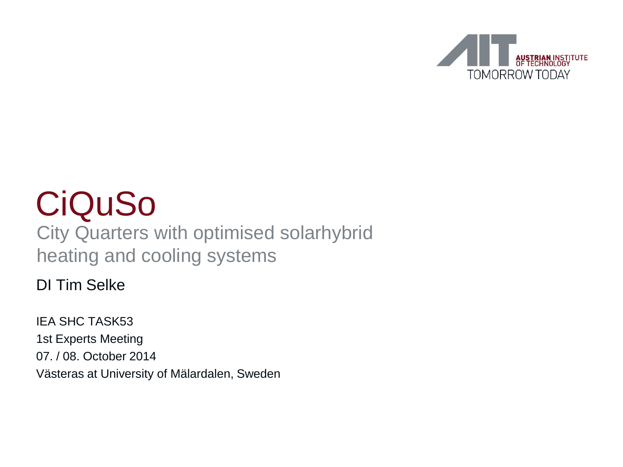

## CiQuSo

#### City Quarters with optimised solarhybrid heating and cooling systems

#### DI Tim Selke

IEA SHC TASK53 1st Experts Meeting 07. / 08. October 2014 Västeras at University of Mälardalen, Sweden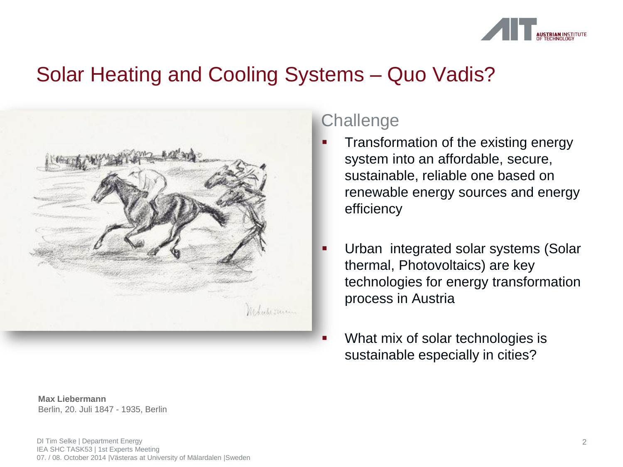

#### Solar Heating and Cooling Systems – Quo Vadis?



#### **Challenge**

- Transformation of the existing energy system into an affordable, secure, sustainable, reliable one based on renewable energy sources and energy efficiency
- Urban integrated solar systems (Solar thermal, Photovoltaics) are key technologies for energy transformation process in Austria
- What mix of solar technologies is sustainable especially in cities?

**Max Liebermann** Berlin, 20. Juli 1847 - 1935, Berlin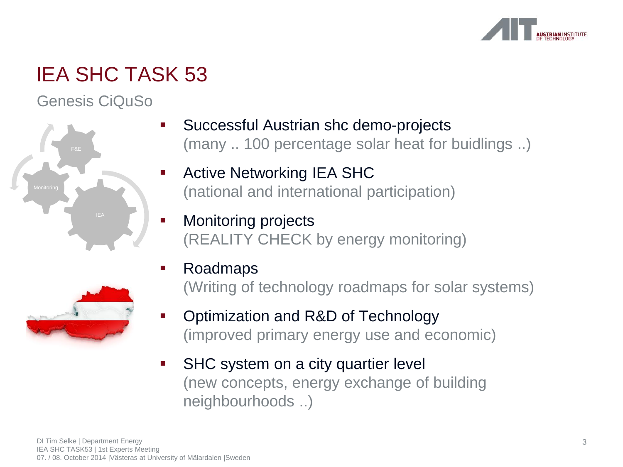

Genesis CiQuSo



- Successful Austrian shc demo-projects (many .. 100 percentage solar heat for buidlings ..)
- Active Networking IEA SHC (national and international participation)
- Monitoring projects (REALITY CHECK by energy monitoring)



- Roadmaps (Writing of technology roadmaps for solar systems)
- Optimization and R&D of Technology (improved primary energy use and economic)
- SHC system on a city quartier level (new concepts, energy exchange of building neighbourhoods ..)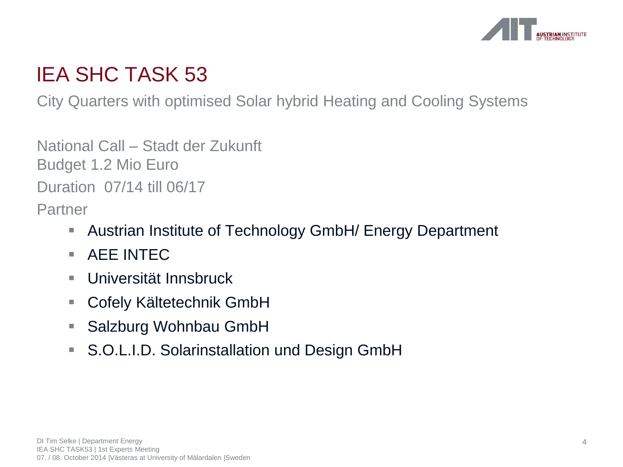

City Quarters with optimised Solar hybrid Heating and Cooling Systems

National Call – Stadt der Zukunft Budget 1.2 Mio Euro Duration 07/14 till 06/17

Partner

- **Austrian Institute of Technology GmbH/ Energy Department**
- $\blacksquare$  AFF INTEC.
- Universität Innsbruck
- Cofely Kältetechnik GmbH
- Salzburg Wohnbau GmbH
- S.O.L.I.D. Solarinstallation und Design GmbH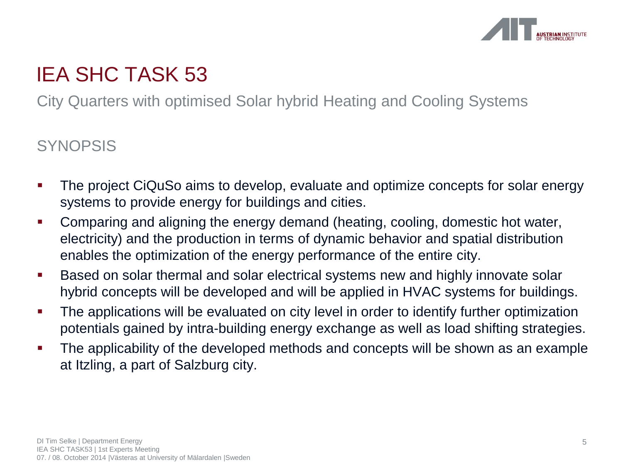

City Quarters with optimised Solar hybrid Heating and Cooling Systems

#### **SYNOPSIS**

- The project CiQuSo aims to develop, evaluate and optimize concepts for solar energy systems to provide energy for buildings and cities.
- Comparing and aligning the energy demand (heating, cooling, domestic hot water, electricity) and the production in terms of dynamic behavior and spatial distribution enables the optimization of the energy performance of the entire city.
- **Based on solar thermal and solar electrical systems new and highly innovate solar** hybrid concepts will be developed and will be applied in HVAC systems for buildings.
- The applications will be evaluated on city level in order to identify further optimization potentials gained by intra-building energy exchange as well as load shifting strategies.
- The applicability of the developed methods and concepts will be shown as an example at Itzling, a part of Salzburg city.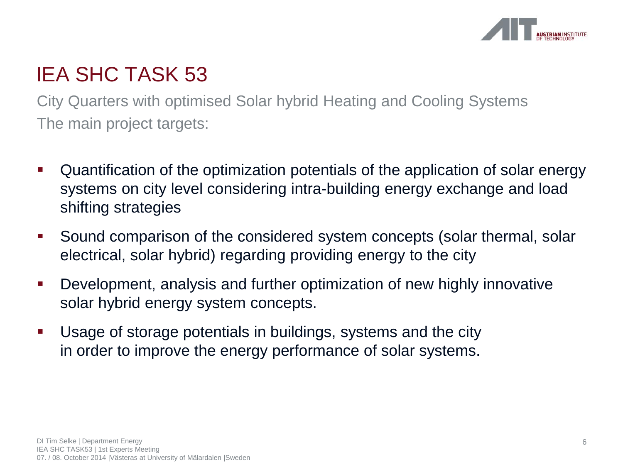

City Quarters with optimised Solar hybrid Heating and Cooling Systems The main project targets:

- Quantification of the optimization potentials of the application of solar energy systems on city level considering intra-building energy exchange and load shifting strategies
- Sound comparison of the considered system concepts (solar thermal, solar electrical, solar hybrid) regarding providing energy to the city
- Development, analysis and further optimization of new highly innovative solar hybrid energy system concepts.
- Usage of storage potentials in buildings, systems and the city in order to improve the energy performance of solar systems.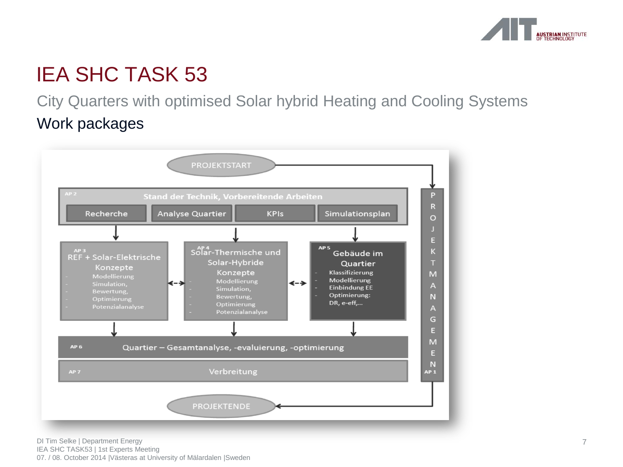

City Quarters with optimised Solar hybrid Heating and Cooling Systems Work packages

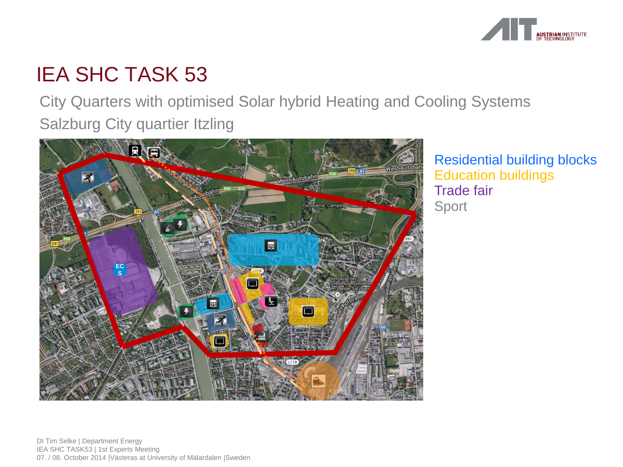

City Quarters with optimised Solar hybrid Heating and Cooling Systems Salzburg City quartier Itzling



Residential building blocks Education buildings Trade fair Sport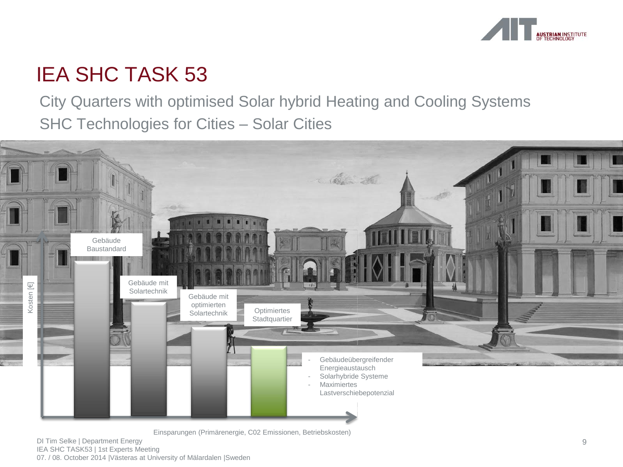

City Quarters with optimised Solar hybrid Heating and Cooling Systems SHC Technologies for Cities – Solar Cities



Einsparungen (Primärenergie, C02 Emissionen, Betriebskosten)

DI Tim Selke | Department Energy IEA SHC TASK53 | 1st Experts Meeting 07. / 08. October 2014 |Västeras at University of Mälardalen |Sweden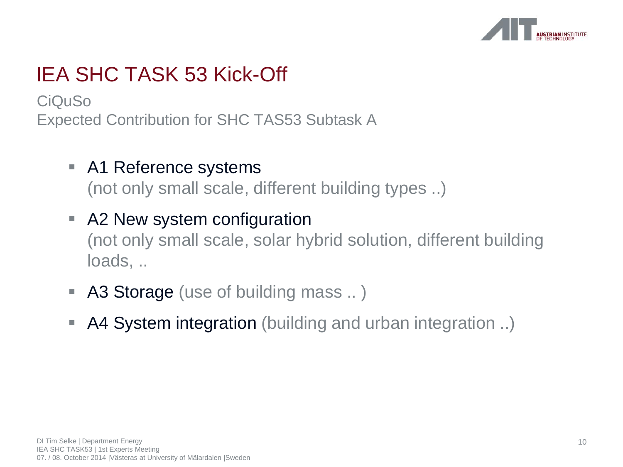

CiQuSo Expected Contribution for SHC TAS53 Subtask A

- A1 Reference systems (not only small scale, different building types ..)
- A2 New system configuration (not only small scale, solar hybrid solution, different building loads, ..
- A3 Storage (use of building mass .. )
- A4 System integration (building and urban integration ..)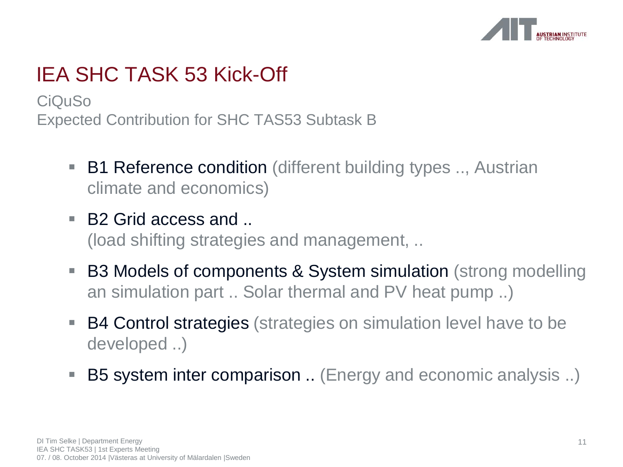

CiQuSo Expected Contribution for SHC TAS53 Subtask B

- B1 Reference condition (different building types .., Austrian climate and economics)
- B2 Grid access and ... (load shifting strategies and management, ..
- B3 Models of components & System simulation (strong modelling an simulation part .. Solar thermal and PV heat pump ..)
- B4 Control strategies (strategies on simulation level have to be developed ..)
- B5 system inter comparison .. (Energy and economic analysis ..)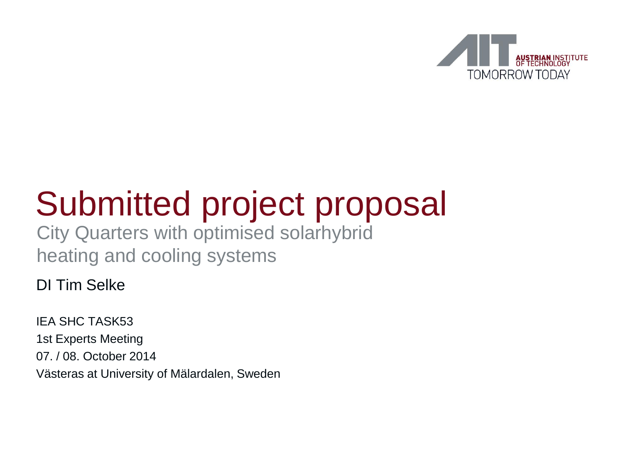

# Submitted project proposal

City Quarters with optimised solarhybrid heating and cooling systems

DI Tim Selke

IEA SHC TASK53 1st Experts Meeting 07. / 08. October 2014 Västeras at University of Mälardalen, Sweden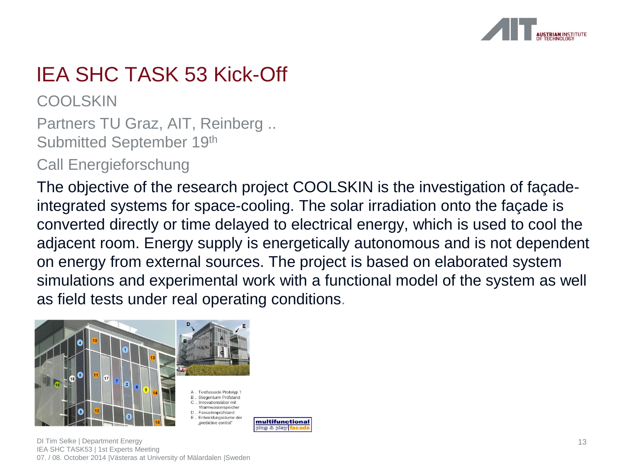

**COOLSKIN** 

Partners TU Graz, AIT, Reinberg .. Submitted September 19th

Call Energieforschung

The objective of the research project COOLSKIN is the investigation of façadeintegrated systems for space-cooling. The solar irradiation onto the façade is converted directly or time delayed to electrical energy, which is used to cool the adjacent room. Energy supply is energetically autonomous and is not dependent on energy from external sources. The project is based on elaborated system simulations and experimental work with a functional model of the system as well as field tests under real operating conditions.



DI Tim Selke | Department Energy IEA SHC TASK53 | 1st Experts Meeting 07. / 08. October 2014 |Västeras at University of Mälardalen |Sweden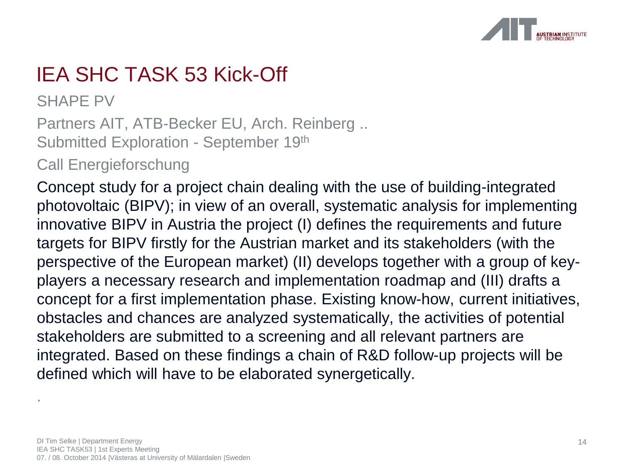

SHAPE PV

.

Partners AIT, ATB-Becker EU, Arch. Reinberg .. Submitted Exploration - September 19th

Call Energieforschung

Concept study for a project chain dealing with the use of building-integrated photovoltaic (BIPV); in view of an overall, systematic analysis for implementing innovative BIPV in Austria the project (I) defines the requirements and future targets for BIPV firstly for the Austrian market and its stakeholders (with the perspective of the European market) (II) develops together with a group of keyplayers a necessary research and implementation roadmap and (III) drafts a concept for a first implementation phase. Existing know-how, current initiatives, obstacles and chances are analyzed systematically, the activities of potential stakeholders are submitted to a screening and all relevant partners are integrated. Based on these findings a chain of R&D follow-up projects will be defined which will have to be elaborated synergetically.